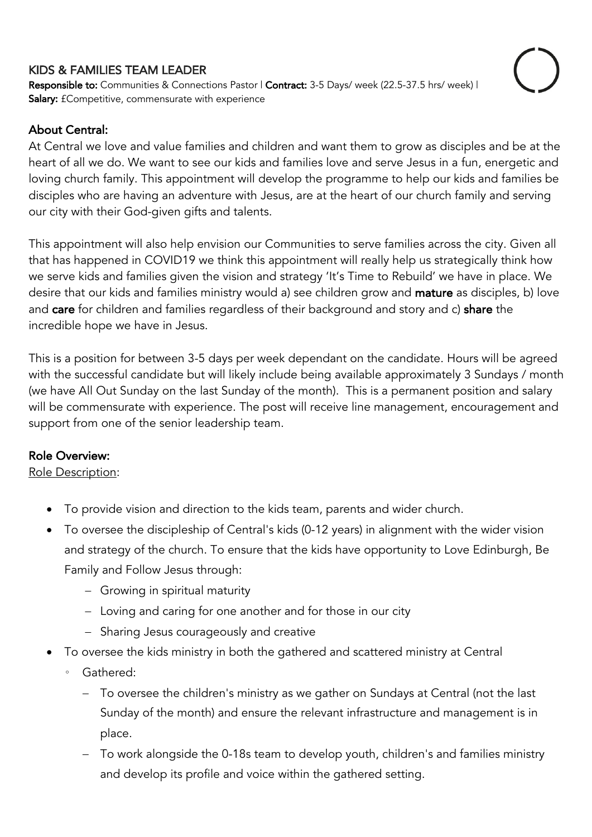## KIDS & FAMILIES TEAM LEADER

Responsible to: Communities & Connections Pastor | Contract: 3-5 Days/ week (22.5-37.5 hrs/ week) | Salary: £Competitive, commensurate with experience

# About Central:

At Central we love and value families and children and want them to grow as disciples and be at the heart of all we do. We want to see our kids and families love and serve Jesus in a fun, energetic and loving church family. This appointment will develop the programme to help our kids and families be disciples who are having an adventure with Jesus, are at the heart of our church family and serving our city with their God-given gifts and talents.

This appointment will also help envision our Communities to serve families across the city. Given all that has happened in COVID19 we think this appointment will really help us strategically think how we serve kids and families given the vision and strategy 'It's Time to Rebuild' we have in place. We desire that our kids and families ministry would a) see children grow and **mature** as disciples, b) love and care for children and families regardless of their background and story and c) share the incredible hope we have in Jesus.

This is a position for between 3-5 days per week dependant on the candidate. Hours will be agreed with the successful candidate but will likely include being available approximately 3 Sundays / month (we have All Out Sunday on the last Sunday of the month). This is a permanent position and salary will be commensurate with experience. The post will receive line management, encouragement and support from one of the senior leadership team.

## Role Overview:

Role Description:

- To provide vision and direction to the kids team, parents and wider church.
- To oversee the discipleship of Central's kids (0-12 years) in alignment with the wider vision and strategy of the church. To ensure that the kids have opportunity to Love Edinburgh, Be Family and Follow Jesus through:
	- Growing in spiritual maturity
	- Loving and caring for one another and for those in our city
	- Sharing Jesus courageously and creative
- To oversee the kids ministry in both the gathered and scattered ministry at Central
	- Gathered:
		- To oversee the children's ministry as we gather on Sundays at Central (not the last Sunday of the month) and ensure the relevant infrastructure and management is in place.
		- To work alongside the 0-18s team to develop youth, children's and families ministry and develop its profile and voice within the gathered setting.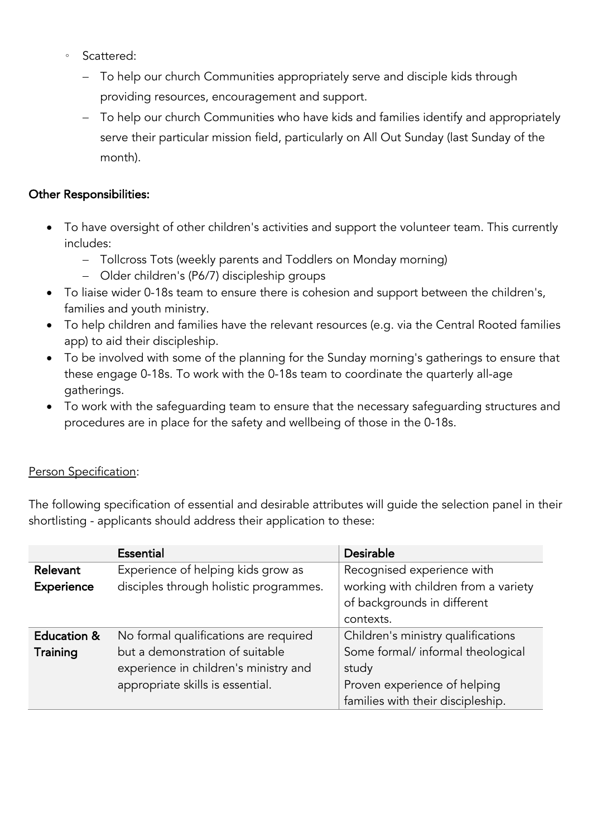- Scattered:
	- To help our church Communities appropriately serve and disciple kids through providing resources, encouragement and support.
	- To help our church Communities who have kids and families identify and appropriately serve their particular mission field, particularly on All Out Sunday (last Sunday of the month).

## Other Responsibilities:

- To have oversight of other children's activities and support the volunteer team. This currently includes:
	- Tollcross Tots (weekly parents and Toddlers on Monday morning)
	- Older children's (P6/7) discipleship groups
- To liaise wider 0-18s team to ensure there is cohesion and support between the children's, families and youth ministry.
- To help children and families have the relevant resources (e.g. via the Central Rooted families app) to aid their discipleship.
- To be involved with some of the planning for the Sunday morning's gatherings to ensure that these engage 0-18s. To work with the 0-18s team to coordinate the quarterly all-age gatherings.
- To work with the safeguarding team to ensure that the necessary safeguarding structures and procedures are in place for the safety and wellbeing of those in the 0-18s.

## Person Specification:

The following specification of essential and desirable attributes will guide the selection panel in their shortlisting - applicants should address their application to these:

|                        | <b>Essential</b>                       | <b>Desirable</b>                     |
|------------------------|----------------------------------------|--------------------------------------|
| Relevant               | Experience of helping kids grow as     | Recognised experience with           |
| Experience             | disciples through holistic programmes. | working with children from a variety |
|                        |                                        | of backgrounds in different          |
|                        |                                        | contexts.                            |
| <b>Education &amp;</b> | No formal qualifications are required  | Children's ministry qualifications   |
| Training               | but a demonstration of suitable        | Some formal/ informal theological    |
|                        | experience in children's ministry and  | study                                |
|                        | appropriate skills is essential.       | Proven experience of helping         |
|                        |                                        | families with their discipleship.    |